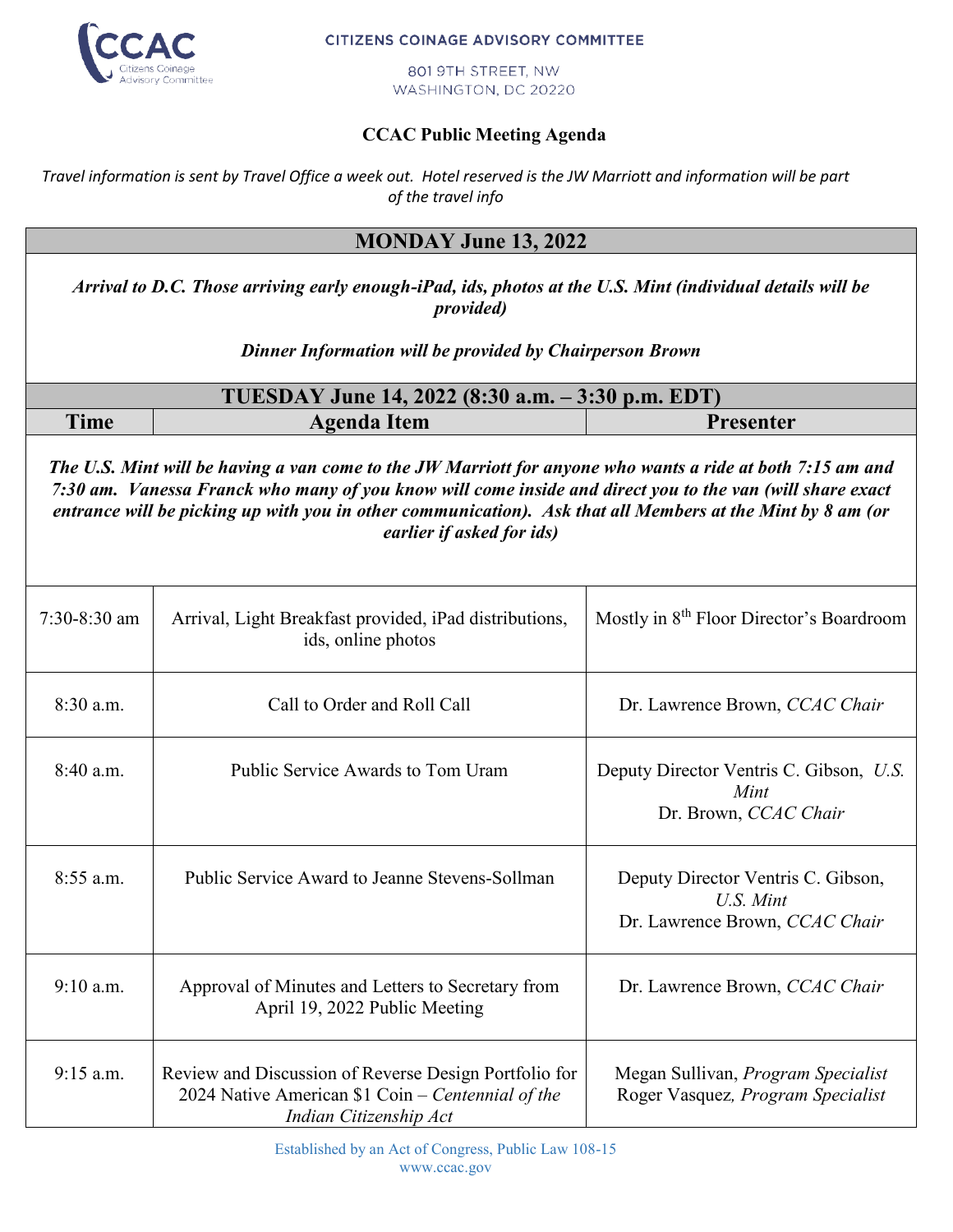

## **CITIZENS COINAGE ADVISORY COMMITTEE**

801 9TH STREET, NW WASHINGTON, DC 20220

## **CCAC Public Meeting Agenda**

*Travel information is sent by Travel Office a week out. Hotel reserved is the JW Marriott and information will be part of the travel info*

## **MONDAY June 13, 2022**

*Arrival to D.C. Those arriving early enough-iPad, ids, photos at the U.S. Mint (individual details will be provided)*

*Dinner Information will be provided by Chairperson Brown*

| TUESDAY June 14, 2022 (8:30 a.m. – 3:30 p.m. EDT) |             |           |  |  |
|---------------------------------------------------|-------------|-----------|--|--|
| <b>Time</b>                                       | Agenda Item | Presenter |  |  |

*The U.S. Mint will be having a van come to the JW Marriott for anyone who wants a ride at both 7:15 am and 7:30 am. Vanessa Franck who many of you know will come inside and direct you to the van (will share exact entrance will be picking up with you in other communication). Ask that all Members at the Mint by 8 am (or earlier if asked for ids)*

| $7:30-8:30$ am | Arrival, Light Breakfast provided, iPad distributions,<br>ids, online photos                                                         | Mostly in 8 <sup>th</sup> Floor Director's Boardroom                              |
|----------------|--------------------------------------------------------------------------------------------------------------------------------------|-----------------------------------------------------------------------------------|
| 8:30 a.m.      | Call to Order and Roll Call                                                                                                          | Dr. Lawrence Brown, CCAC Chair                                                    |
| 8:40 a.m.      | Public Service Awards to Tom Uram                                                                                                    | Deputy Director Ventris C. Gibson, U.S.<br>Mint<br>Dr. Brown, CCAC Chair          |
| $8:55$ a.m.    | Public Service Award to Jeanne Stevens-Sollman                                                                                       | Deputy Director Ventris C. Gibson,<br>U.S. Mint<br>Dr. Lawrence Brown, CCAC Chair |
| $9:10$ a.m.    | Approval of Minutes and Letters to Secretary from<br>April 19, 2022 Public Meeting                                                   | Dr. Lawrence Brown, CCAC Chair                                                    |
| $9:15$ a.m.    | Review and Discussion of Reverse Design Portfolio for<br>2024 Native American \$1 Coin – Centennial of the<br>Indian Citizenship Act | Megan Sullivan, Program Specialist<br>Roger Vasquez, Program Specialist           |